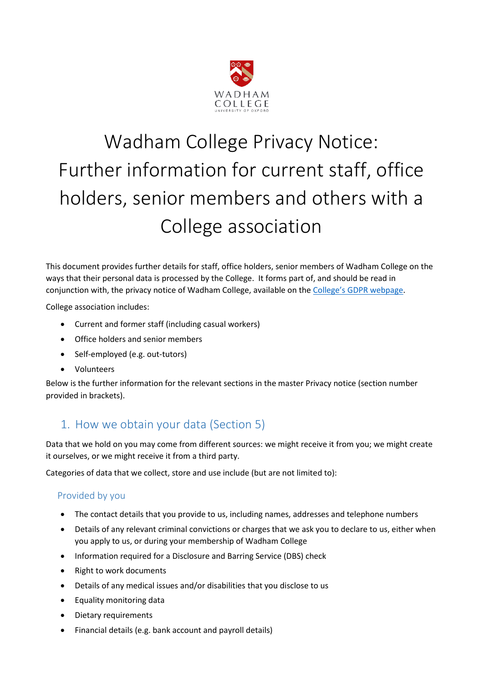

# Wadham College Privacy Notice: Further information for current staff, office holders, senior members and others with a College association

This document provides further details for staff, office holders, senior members of Wadham College on the ways that their personal data is processed by the College. It forms part of, and should be read in conjunction with, the privacy notice of Wadham College, available on the [College's GDPR webpage](https://www.wadham.ox.ac.uk/governance/wadham-college-gdpr-framework).

College association includes:

- Current and former staff (including casual workers)
- Office holders and senior members
- Self-employed (e.g. out-tutors)
- Volunteers

Below is the further information for the relevant sections in the master Privacy notice (section number provided in brackets).

# 1. How we obtain your data (Section 5)

Data that we hold on you may come from different sources: we might receive it from you; we might create it ourselves, or we might receive it from a third party.

Categories of data that we collect, store and use include (but are not limited to):

## Provided by you

- The contact details that you provide to us, including names, addresses and telephone numbers
- Details of any relevant criminal convictions or charges that we ask you to declare to us, either when you apply to us, or during your membership of Wadham College
- Information required for a Disclosure and Barring Service (DBS) check
- Right to work documents
- Details of any medical issues and/or disabilities that you disclose to us
- Equality monitoring data
- Dietary requirements
- Financial details (e.g. bank account and payroll details)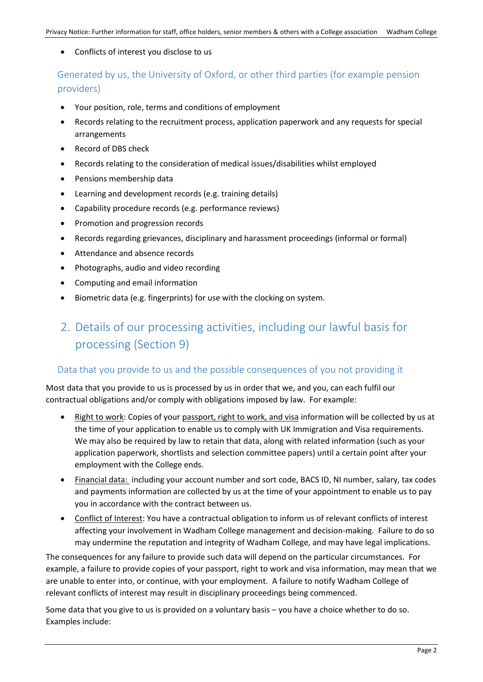Conflicts of interest you disclose to us

Generated by us, the University of Oxford, or other third parties (for example pension providers)

- Your position, role, terms and conditions of employment
- Records relating to the recruitment process, application paperwork and any requests for special arrangements
- Record of DBS check
- Records relating to the consideration of medical issues/disabilities whilst employed
- Pensions membership data
- Learning and development records (e.g. training details)
- Capability procedure records (e.g. performance reviews)
- Promotion and progression records
- Records regarding grievances, disciplinary and harassment proceedings (informal or formal)
- Attendance and absence records
- Photographs, audio and video recording
- Computing and email information
- Biometric data (e.g. fingerprints) for use with the clocking on system.

## 2. Details of our processing activities, including our lawful basis for processing (Section 9)

#### Data that you provide to us and the possible consequences of you not providing it

Most data that you provide to us is processed by us in order that we, and you, can each fulfil our contractual obligations and/or comply with obligations imposed by law. For example:

- Right to work: Copies of your passport, right to work, and visa information will be collected by us at the time of your application to enable us to comply with UK Immigration and Visa requirements. We may also be required by law to retain that data, along with related information (such as your application paperwork, shortlists and selection committee papers) until a certain point after your employment with the College ends.
- Financial data: including your account number and sort code, BACS ID, NI number, salary, tax codes and payments information are collected by us at the time of your appointment to enable us to pay you in accordance with the contract between us.
- Conflict of Interest: You have a contractual obligation to inform us of relevant conflicts of interest affecting your involvement in Wadham College management and decision-making. Failure to do so may undermine the reputation and integrity of Wadham College, and may have legal implications.

The consequences for any failure to provide such data will depend on the particular circumstances. For example, a failure to provide copies of your passport, right to work and visa information, may mean that we are unable to enter into, or continue, with your employment. A failure to notify Wadham College of relevant conflicts of interest may result in disciplinary proceedings being commenced.

Some data that you give to us is provided on a voluntary basis – you have a choice whether to do so. Examples include: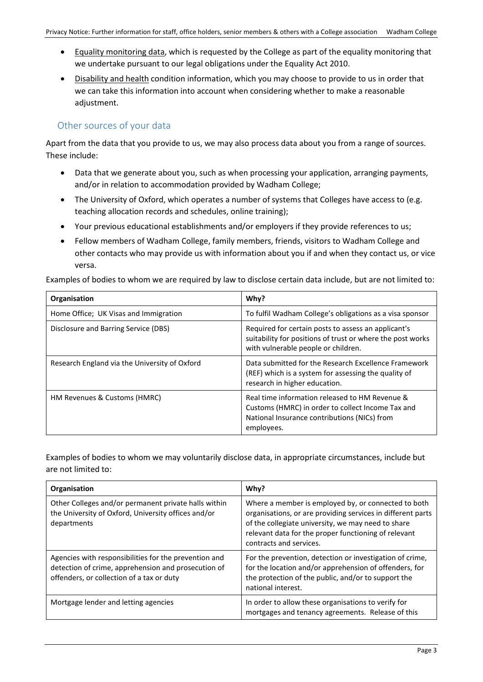- Equality monitoring data, which is requested by the College as part of the equality monitoring that we undertake pursuant to our legal obligations under the Equality Act 2010.
- Disability and health condition information, which you may choose to provide to us in order that we can take this information into account when considering whether to make a reasonable adjustment.

### Other sources of your data

Apart from the data that you provide to us, we may also process data about you from a range of sources. These include:

- Data that we generate about you, such as when processing your application, arranging payments, and/or in relation to accommodation provided by Wadham College;
- The University of Oxford, which operates a number of systems that Colleges have access to (e.g. teaching allocation records and schedules, online training);
- Your previous educational establishments and/or employers if they provide references to us;
- Fellow members of Wadham College, family members, friends, visitors to Wadham College and other contacts who may provide us with information about you if and when they contact us, or vice versa.

Examples of bodies to whom we are required by law to disclose certain data include, but are not limited to:

| Organisation                                  | Why?                                                                                                                                                              |
|-----------------------------------------------|-------------------------------------------------------------------------------------------------------------------------------------------------------------------|
| Home Office; UK Visas and Immigration         | To fulfil Wadham College's obligations as a visa sponsor                                                                                                          |
| Disclosure and Barring Service (DBS)          | Required for certain posts to assess an applicant's<br>suitability for positions of trust or where the post works<br>with vulnerable people or children.          |
| Research England via the University of Oxford | Data submitted for the Research Excellence Framework<br>(REF) which is a system for assessing the quality of<br>research in higher education.                     |
| HM Revenues & Customs (HMRC)                  | Real time information released to HM Revenue &<br>Customs (HMRC) in order to collect Income Tax and<br>National Insurance contributions (NICs) from<br>employees. |

Examples of bodies to whom we may voluntarily disclose data, in appropriate circumstances, include but are not limited to:

| Organisation                                                                                                                                              | Why?                                                                                                                                                                                                                                                        |
|-----------------------------------------------------------------------------------------------------------------------------------------------------------|-------------------------------------------------------------------------------------------------------------------------------------------------------------------------------------------------------------------------------------------------------------|
| Other Colleges and/or permanent private halls within<br>the University of Oxford, University offices and/or<br>departments                                | Where a member is employed by, or connected to both<br>organisations, or are providing services in different parts<br>of the collegiate university, we may need to share<br>relevant data for the proper functioning of relevant<br>contracts and services. |
| Agencies with responsibilities for the prevention and<br>detection of crime, apprehension and prosecution of<br>offenders, or collection of a tax or duty | For the prevention, detection or investigation of crime,<br>for the location and/or apprehension of offenders, for<br>the protection of the public, and/or to support the<br>national interest.                                                             |
| Mortgage lender and letting agencies                                                                                                                      | In order to allow these organisations to verify for<br>mortgages and tenancy agreements. Release of this                                                                                                                                                    |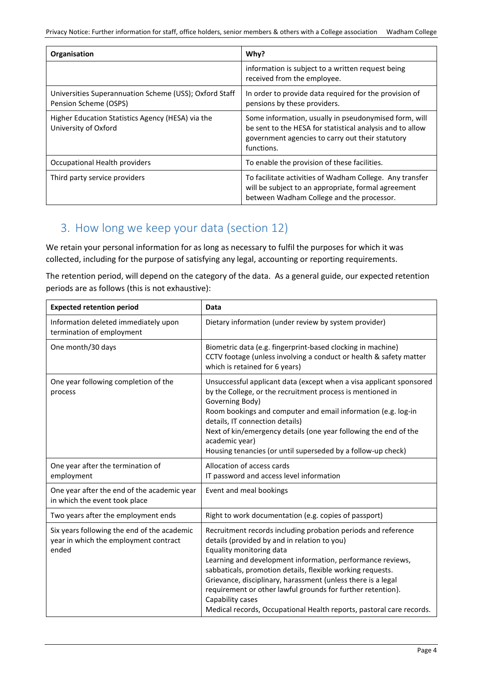| Organisation                                                                    | Why?                                                                                                                                                                                 |
|---------------------------------------------------------------------------------|--------------------------------------------------------------------------------------------------------------------------------------------------------------------------------------|
|                                                                                 | information is subject to a written request being<br>received from the employee.                                                                                                     |
| Universities Superannuation Scheme (USS); Oxford Staff<br>Pension Scheme (OSPS) | In order to provide data required for the provision of<br>pensions by these providers.                                                                                               |
| Higher Education Statistics Agency (HESA) via the<br>University of Oxford       | Some information, usually in pseudonymised form, will<br>be sent to the HESA for statistical analysis and to allow<br>government agencies to carry out their statutory<br>functions. |
| Occupational Health providers                                                   | To enable the provision of these facilities.                                                                                                                                         |
| Third party service providers                                                   | To facilitate activities of Wadham College. Any transfer<br>will be subject to an appropriate, formal agreement<br>between Wadham College and the processor.                         |

## 3. How long we keep your data (section 12)

We retain your personal information for as long as necessary to fulfil the purposes for which it was collected, including for the purpose of satisfying any legal, accounting or reporting requirements.

The retention period, will depend on the category of the data. As a general guide, our expected retention periods are as follows (this is not exhaustive):

| <b>Expected retention period</b>                                                              | Data                                                                                                                                                                                                                                                                                                                                                                                                                                                                                             |
|-----------------------------------------------------------------------------------------------|--------------------------------------------------------------------------------------------------------------------------------------------------------------------------------------------------------------------------------------------------------------------------------------------------------------------------------------------------------------------------------------------------------------------------------------------------------------------------------------------------|
| Information deleted immediately upon<br>termination of employment                             | Dietary information (under review by system provider)                                                                                                                                                                                                                                                                                                                                                                                                                                            |
| One month/30 days                                                                             | Biometric data (e.g. fingerprint-based clocking in machine)<br>CCTV footage (unless involving a conduct or health & safety matter<br>which is retained for 6 years)                                                                                                                                                                                                                                                                                                                              |
| One year following completion of the<br>process                                               | Unsuccessful applicant data (except when a visa applicant sponsored<br>by the College, or the recruitment process is mentioned in<br>Governing Body)<br>Room bookings and computer and email information (e.g. log-in<br>details, IT connection details)<br>Next of kin/emergency details (one year following the end of the<br>academic year)<br>Housing tenancies (or until superseded by a follow-up check)                                                                                   |
| One year after the termination of<br>employment                                               | Allocation of access cards<br>IT password and access level information                                                                                                                                                                                                                                                                                                                                                                                                                           |
| One year after the end of the academic year<br>in which the event took place                  | Event and meal bookings                                                                                                                                                                                                                                                                                                                                                                                                                                                                          |
| Two years after the employment ends                                                           | Right to work documentation (e.g. copies of passport)                                                                                                                                                                                                                                                                                                                                                                                                                                            |
| Six years following the end of the academic<br>year in which the employment contract<br>ended | Recruitment records including probation periods and reference<br>details (provided by and in relation to you)<br>Equality monitoring data<br>Learning and development information, performance reviews,<br>sabbaticals, promotion details, flexible working requests.<br>Grievance, disciplinary, harassment (unless there is a legal<br>requirement or other lawful grounds for further retention).<br>Capability cases<br>Medical records, Occupational Health reports, pastoral care records. |